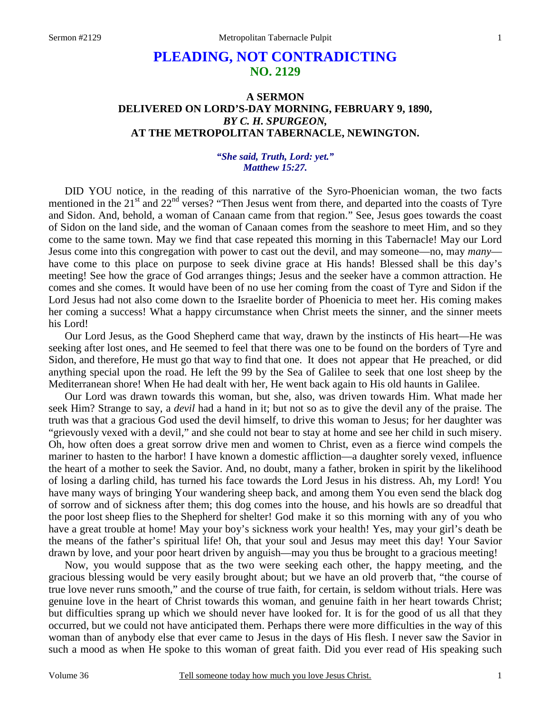# **PLEADING, NOT CONTRADICTING NO. 2129**

# **A SERMON DELIVERED ON LORD'S-DAY MORNING, FEBRUARY 9, 1890,**  *BY C. H. SPURGEON,*  **AT THE METROPOLITAN TABERNACLE, NEWINGTON.**

### *"She said, Truth, Lord: yet." Matthew 15:27.*

DID YOU notice, in the reading of this narrative of the Syro-Phoenician woman, the two facts mentioned in the  $21<sup>st</sup>$  and  $22<sup>nd</sup>$  verses? "Then Jesus went from there, and departed into the coasts of Tyre and Sidon. And, behold, a woman of Canaan came from that region." See, Jesus goes towards the coast of Sidon on the land side, and the woman of Canaan comes from the seashore to meet Him, and so they come to the same town. May we find that case repeated this morning in this Tabernacle! May our Lord Jesus come into this congregation with power to cast out the devil, and may someone—no, may *many* have come to this place on purpose to seek divine grace at His hands! Blessed shall be this day's meeting! See how the grace of God arranges things; Jesus and the seeker have a common attraction. He comes and she comes. It would have been of no use her coming from the coast of Tyre and Sidon if the Lord Jesus had not also come down to the Israelite border of Phoenicia to meet her. His coming makes her coming a success! What a happy circumstance when Christ meets the sinner, and the sinner meets his Lord!

 Our Lord Jesus, as the Good Shepherd came that way, drawn by the instincts of His heart—He was seeking after lost ones, and He seemed to feel that there was one to be found on the borders of Tyre and Sidon, and therefore, He must go that way to find that one. It does not appear that He preached, or did anything special upon the road. He left the 99 by the Sea of Galilee to seek that one lost sheep by the Mediterranean shore! When He had dealt with her, He went back again to His old haunts in Galilee.

 Our Lord was drawn towards this woman, but she, also, was driven towards Him. What made her seek Him? Strange to say, a *devil* had a hand in it; but not so as to give the devil any of the praise. The truth was that a gracious God used the devil himself, to drive this woman to Jesus; for her daughter was "grievously vexed with a devil," and she could not bear to stay at home and see her child in such misery. Oh, how often does a great sorrow drive men and women to Christ, even as a fierce wind compels the mariner to hasten to the harbor! I have known a domestic affliction—a daughter sorely vexed, influence the heart of a mother to seek the Savior. And, no doubt, many a father, broken in spirit by the likelihood of losing a darling child, has turned his face towards the Lord Jesus in his distress. Ah, my Lord! You have many ways of bringing Your wandering sheep back, and among them You even send the black dog of sorrow and of sickness after them; this dog comes into the house, and his howls are so dreadful that the poor lost sheep flies to the Shepherd for shelter! God make it so this morning with any of you who have a great trouble at home! May your boy's sickness work your health! Yes, may your girl's death be the means of the father's spiritual life! Oh, that your soul and Jesus may meet this day! Your Savior drawn by love, and your poor heart driven by anguish—may you thus be brought to a gracious meeting!

 Now, you would suppose that as the two were seeking each other, the happy meeting, and the gracious blessing would be very easily brought about; but we have an old proverb that, "the course of true love never runs smooth," and the course of true faith, for certain, is seldom without trials. Here was genuine love in the heart of Christ towards this woman, and genuine faith in her heart towards Christ; but difficulties sprang up which we should never have looked for. It is for the good of us all that they occurred, but we could not have anticipated them. Perhaps there were more difficulties in the way of this woman than of anybody else that ever came to Jesus in the days of His flesh. I never saw the Savior in such a mood as when He spoke to this woman of great faith. Did you ever read of His speaking such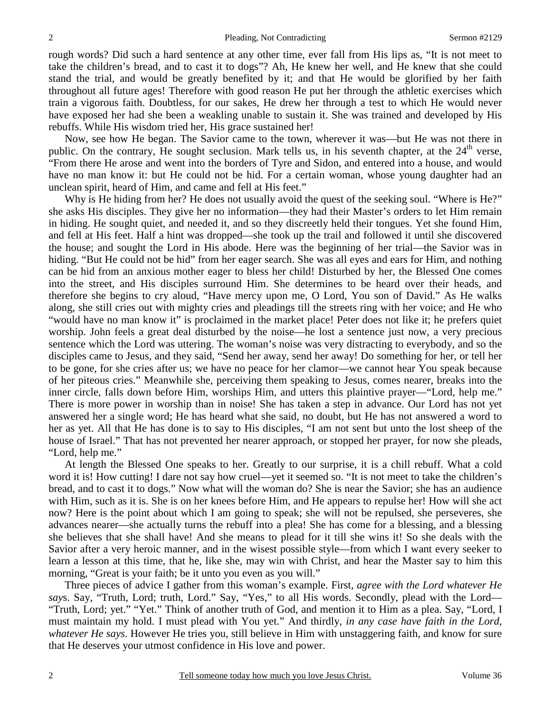rough words? Did such a hard sentence at any other time, ever fall from His lips as, "It is not meet to take the children's bread, and to cast it to dogs"? Ah, He knew her well, and He knew that she could stand the trial, and would be greatly benefited by it; and that He would be glorified by her faith throughout all future ages! Therefore with good reason He put her through the athletic exercises which train a vigorous faith. Doubtless, for our sakes, He drew her through a test to which He would never have exposed her had she been a weakling unable to sustain it. She was trained and developed by His rebuffs. While His wisdom tried her, His grace sustained her!

 Now, see how He began. The Savior came to the town, wherever it was—but He was not there in public. On the contrary, He sought seclusion. Mark tells us, in his seventh chapter, at the  $24<sup>th</sup>$  verse, "From there He arose and went into the borders of Tyre and Sidon, and entered into a house, and would have no man know it: but He could not be hid. For a certain woman, whose young daughter had an unclean spirit, heard of Him, and came and fell at His feet."

Why is He hiding from her? He does not usually avoid the quest of the seeking soul. "Where is He?" she asks His disciples. They give her no information—they had their Master's orders to let Him remain in hiding. He sought quiet, and needed it, and so they discreetly held their tongues. Yet she found Him, and fell at His feet. Half a hint was dropped—she took up the trail and followed it until she discovered the house; and sought the Lord in His abode. Here was the beginning of her trial—the Savior was in hiding. "But He could not be hid" from her eager search. She was all eyes and ears for Him, and nothing can be hid from an anxious mother eager to bless her child! Disturbed by her, the Blessed One comes into the street, and His disciples surround Him. She determines to be heard over their heads, and therefore she begins to cry aloud, "Have mercy upon me, O Lord, You son of David." As He walks along, she still cries out with mighty cries and pleadings till the streets ring with her voice; and He who "would have no man know it" is proclaimed in the market place! Peter does not like it; he prefers quiet worship. John feels a great deal disturbed by the noise—he lost a sentence just now, a very precious sentence which the Lord was uttering. The woman's noise was very distracting to everybody, and so the disciples came to Jesus, and they said, "Send her away, send her away! Do something for her, or tell her to be gone, for she cries after us; we have no peace for her clamor—we cannot hear You speak because of her piteous cries." Meanwhile she, perceiving them speaking to Jesus, comes nearer, breaks into the inner circle, falls down before Him, worships Him, and utters this plaintive prayer—"Lord, help me." There is more power in worship than in noise! She has taken a step in advance. Our Lord has not yet answered her a single word; He has heard what she said, no doubt, but He has not answered a word to her as yet. All that He has done is to say to His disciples, "I am not sent but unto the lost sheep of the house of Israel." That has not prevented her nearer approach, or stopped her prayer, for now she pleads, "Lord, help me."

 At length the Blessed One speaks to her. Greatly to our surprise, it is a chill rebuff. What a cold word it is! How cutting! I dare not say how cruel—yet it seemed so. "It is not meet to take the children's bread, and to cast it to dogs." Now what will the woman do? She is near the Savior; she has an audience with Him, such as it is. She is on her knees before Him, and He appears to repulse her! How will she act now? Here is the point about which I am going to speak; she will not be repulsed, she perseveres, she advances nearer—she actually turns the rebuff into a plea! She has come for a blessing, and a blessing she believes that she shall have! And she means to plead for it till she wins it! So she deals with the Savior after a very heroic manner, and in the wisest possible style—from which I want every seeker to learn a lesson at this time, that he, like she, may win with Christ, and hear the Master say to him this morning, "Great is your faith; be it unto you even as you will."

 Three pieces of advice I gather from this woman's example. First, *agree with the Lord whatever He say*s. Say, "Truth, Lord; truth, Lord." Say, "Yes," to all His words. Secondly, plead with the Lord— "Truth, Lord; yet." "Yet." Think of another truth of God, and mention it to Him as a plea. Say, "Lord, I must maintain my hold. I must plead with You yet." And thirdly, *in any case have faith in the Lord, whatever He says*. However He tries you, still believe in Him with unstaggering faith, and know for sure that He deserves your utmost confidence in His love and power.

2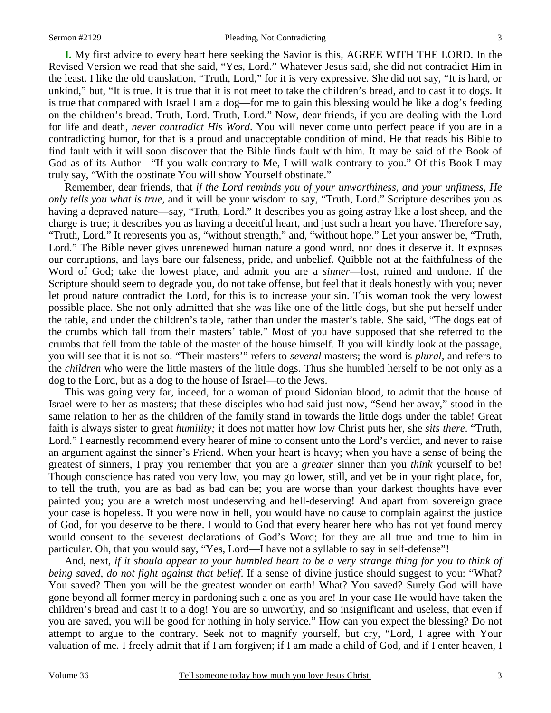3

**I.** My first advice to every heart here seeking the Savior is this, AGREE WITH THE LORD. In the Revised Version we read that she said, "Yes, Lord." Whatever Jesus said, she did not contradict Him in the least. I like the old translation, "Truth, Lord," for it is very expressive. She did not say, "It is hard, or unkind," but, "It is true. It is true that it is not meet to take the children's bread, and to cast it to dogs. It is true that compared with Israel I am a dog—for me to gain this blessing would be like a dog's feeding on the children's bread. Truth, Lord. Truth, Lord." Now, dear friends, if you are dealing with the Lord for life and death, *never contradict His Word*. You will never come unto perfect peace if you are in a contradicting humor, for that is a proud and unacceptable condition of mind. He that reads his Bible to find fault with it will soon discover that the Bible finds fault with him. It may be said of the Book of God as of its Author—"If you walk contrary to Me, I will walk contrary to you." Of this Book I may truly say, "With the obstinate You will show Yourself obstinate."

 Remember, dear friends, that *if the Lord reminds you of your unworthiness, and your unfitness, He only tells you what is true,* and it will be your wisdom to say, "Truth, Lord." Scripture describes you as having a depraved nature—say, "Truth, Lord." It describes you as going astray like a lost sheep, and the charge is true; it describes you as having a deceitful heart, and just such a heart you have. Therefore say, "Truth, Lord." It represents you as, "without strength," and, "without hope." Let your answer be, "Truth, Lord." The Bible never gives unrenewed human nature a good word, nor does it deserve it. It exposes our corruptions, and lays bare our falseness, pride, and unbelief. Quibble not at the faithfulness of the Word of God; take the lowest place, and admit you are a *sinner*—lost, ruined and undone. If the Scripture should seem to degrade you, do not take offense, but feel that it deals honestly with you; never let proud nature contradict the Lord, for this is to increase your sin. This woman took the very lowest possible place. She not only admitted that she was like one of the little dogs, but she put herself under the table, and under the children's table, rather than under the master's table. She said, "The dogs eat of the crumbs which fall from their masters' table." Most of you have supposed that she referred to the crumbs that fell from the table of the master of the house himself. If you will kindly look at the passage, you will see that it is not so. "Their masters'" refers to *several* masters; the word is *plural,* and refers to the *children* who were the little masters of the little dogs. Thus she humbled herself to be not only as a dog to the Lord, but as a dog to the house of Israel—to the Jews.

 This was going very far, indeed, for a woman of proud Sidonian blood, to admit that the house of Israel were to her as masters; that these disciples who had said just now, "Send her away," stood in the same relation to her as the children of the family stand in towards the little dogs under the table! Great faith is always sister to great *humility;* it does not matter how low Christ puts her, she *sits there*. "Truth, Lord." I earnestly recommend every hearer of mine to consent unto the Lord's verdict, and never to raise an argument against the sinner's Friend. When your heart is heavy; when you have a sense of being the greatest of sinners, I pray you remember that you are a *greater* sinner than you *think* yourself to be! Though conscience has rated you very low, you may go lower, still, and yet be in your right place, for, to tell the truth, you are as bad as bad can be; you are worse than your darkest thoughts have ever painted you; you are a wretch most undeserving and hell-deserving! And apart from sovereign grace your case is hopeless. If you were now in hell, you would have no cause to complain against the justice of God, for you deserve to be there. I would to God that every hearer here who has not yet found mercy would consent to the severest declarations of God's Word; for they are all true and true to him in particular. Oh, that you would say, "Yes, Lord—I have not a syllable to say in self-defense"!

 And, next, *if it should appear to your humbled heart to be a very strange thing for you to think of being saved, do not fight against that belief*. If a sense of divine justice should suggest to you: "What? You saved? Then you will be the greatest wonder on earth! What? You saved? Surely God will have gone beyond all former mercy in pardoning such a one as you are! In your case He would have taken the children's bread and cast it to a dog! You are so unworthy, and so insignificant and useless, that even if you are saved, you will be good for nothing in holy service." How can you expect the blessing? Do not attempt to argue to the contrary. Seek not to magnify yourself, but cry, "Lord, I agree with Your valuation of me. I freely admit that if I am forgiven; if I am made a child of God, and if I enter heaven, I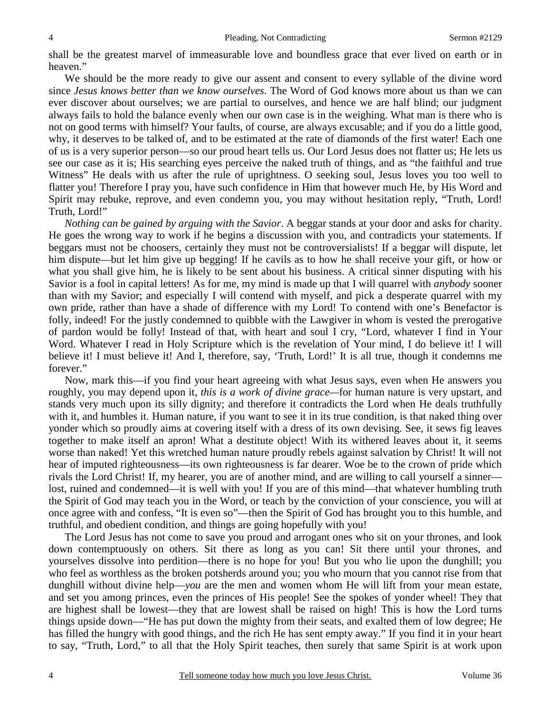shall be the greatest marvel of immeasurable love and boundless grace that ever lived on earth or in heaven."

 We should be the more ready to give our assent and consent to every syllable of the divine word since *Jesus knows better than we know ourselves*. The Word of God knows more about us than we can ever discover about ourselves; we are partial to ourselves, and hence we are half blind; our judgment always fails to hold the balance evenly when our own case is in the weighing. What man is there who is not on good terms with himself? Your faults, of course, are always excusable; and if you do a little good, why, it deserves to be talked of, and to be estimated at the rate of diamonds of the first water! Each one of us is a very superior person—so our proud heart tells us. Our Lord Jesus does not flatter us; He lets us see our case as it is; His searching eyes perceive the naked truth of things, and as "the faithful and true Witness" He deals with us after the rule of uprightness. O seeking soul, Jesus loves you too well to flatter you! Therefore I pray you, have such confidence in Him that however much He, by His Word and Spirit may rebuke, reprove, and even condemn you, you may without hesitation reply, "Truth, Lord! Truth, Lord!"

*Nothing can be gained by arguing with the Savior*. A beggar stands at your door and asks for charity. He goes the wrong way to work if he begins a discussion with you, and contradicts your statements. If beggars must not be choosers, certainly they must not be controversialists! If a beggar will dispute, let him dispute—but let him give up begging! If he cavils as to how he shall receive your gift, or how or what you shall give him, he is likely to be sent about his business. A critical sinner disputing with his Savior is a fool in capital letters! As for me, my mind is made up that I will quarrel with *anybody* sooner than with my Savior; and especially I will contend with myself, and pick a desperate quarrel with my own pride, rather than have a shade of difference with my Lord! To contend with one's Benefactor is folly, indeed! For the justly condemned to quibble with the Lawgiver in whom is vested the prerogative of pardon would be folly! Instead of that, with heart and soul I cry, "Lord, whatever I find in Your Word. Whatever I read in Holy Scripture which is the revelation of Your mind, I do believe it! I will believe it! I must believe it! And I, therefore, say, 'Truth, Lord!' It is all true, though it condemns me forever."

 Now, mark this—if you find your heart agreeing with what Jesus says, even when He answers you roughly, you may depend upon it, *this is a work of divine grace—*for human nature is very upstart, and stands very much upon its silly dignity; and therefore it contradicts the Lord when He deals truthfully with it, and humbles it. Human nature, if you want to see it in its true condition, is that naked thing over yonder which so proudly aims at covering itself with a dress of its own devising. See, it sews fig leaves together to make itself an apron! What a destitute object! With its withered leaves about it, it seems worse than naked! Yet this wretched human nature proudly rebels against salvation by Christ! It will not hear of imputed righteousness—its own righteousness is far dearer. Woe be to the crown of pride which rivals the Lord Christ! If, my hearer, you are of another mind, and are willing to call yourself a sinner lost, ruined and condemned—it is well with you! If you are of this mind—that whatever humbling truth the Spirit of God may teach you in the Word, or teach by the conviction of your conscience, you will at once agree with and confess, "It is even so"—then the Spirit of God has brought you to this humble, and truthful, and obedient condition, and things are going hopefully with you!

 The Lord Jesus has not come to save you proud and arrogant ones who sit on your thrones, and look down contemptuously on others. Sit there as long as you can! Sit there until your thrones, and yourselves dissolve into perdition—there is no hope for you! But you who lie upon the dunghill; you who feel as worthless as the broken potsherds around you; you who mourn that you cannot rise from that dunghill without divine help—*you* are the men and women whom He will lift from your mean estate, and set you among princes, even the princes of His people! See the spokes of yonder wheel! They that are highest shall be lowest—they that are lowest shall be raised on high! This is how the Lord turns things upside down—"He has put down the mighty from their seats, and exalted them of low degree; He has filled the hungry with good things, and the rich He has sent empty away." If you find it in your heart to say, "Truth, Lord," to all that the Holy Spirit teaches, then surely that same Spirit is at work upon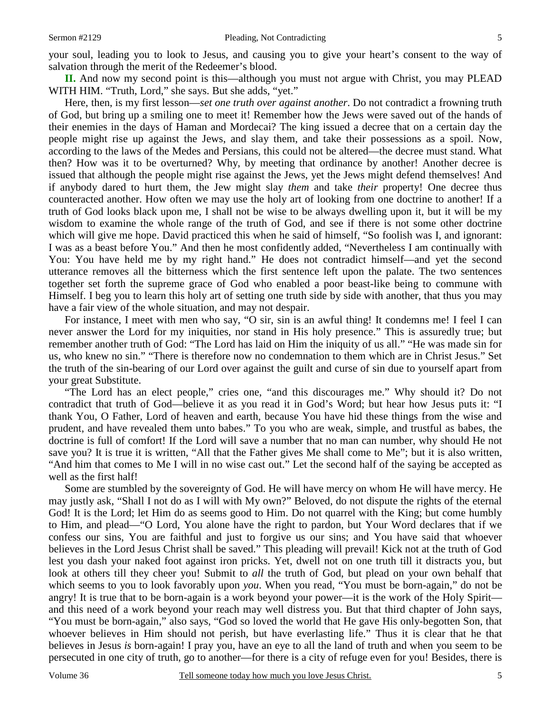your soul, leading you to look to Jesus, and causing you to give your heart's consent to the way of salvation through the merit of the Redeemer's blood.

**II.** And now my second point is this—although you must not argue with Christ, you may PLEAD WITH HIM. "Truth, Lord," she says. But she adds, "yet."

 Here, then, is my first lesson—*set one truth over against another*. Do not contradict a frowning truth of God, but bring up a smiling one to meet it! Remember how the Jews were saved out of the hands of their enemies in the days of Haman and Mordecai? The king issued a decree that on a certain day the people might rise up against the Jews, and slay them, and take their possessions as a spoil. Now, according to the laws of the Medes and Persians, this could not be altered—the decree must stand. What then? How was it to be overturned? Why, by meeting that ordinance by another! Another decree is issued that although the people might rise against the Jews, yet the Jews might defend themselves! And if anybody dared to hurt them, the Jew might slay *them* and take *their* property! One decree thus counteracted another. How often we may use the holy art of looking from one doctrine to another! If a truth of God looks black upon me, I shall not be wise to be always dwelling upon it, but it will be my wisdom to examine the whole range of the truth of God, and see if there is not some other doctrine which will give me hope. David practiced this when he said of himself, "So foolish was I, and ignorant: I was as a beast before You." And then he most confidently added, "Nevertheless I am continually with You: You have held me by my right hand." He does not contradict himself—and yet the second utterance removes all the bitterness which the first sentence left upon the palate. The two sentences together set forth the supreme grace of God who enabled a poor beast-like being to commune with Himself. I beg you to learn this holy art of setting one truth side by side with another, that thus you may have a fair view of the whole situation, and may not despair.

 For instance, I meet with men who say, "O sir, sin is an awful thing! It condemns me! I feel I can never answer the Lord for my iniquities, nor stand in His holy presence." This is assuredly true; but remember another truth of God: "The Lord has laid on Him the iniquity of us all." "He was made sin for us, who knew no sin." "There is therefore now no condemnation to them which are in Christ Jesus." Set the truth of the sin-bearing of our Lord over against the guilt and curse of sin due to yourself apart from your great Substitute.

 "The Lord has an elect people," cries one, "and this discourages me." Why should it? Do not contradict that truth of God—believe it as you read it in God's Word; but hear how Jesus puts it: "I thank You, O Father, Lord of heaven and earth, because You have hid these things from the wise and prudent, and have revealed them unto babes." To you who are weak, simple, and trustful as babes, the doctrine is full of comfort! If the Lord will save a number that no man can number, why should He not save you? It is true it is written, "All that the Father gives Me shall come to Me"; but it is also written, "And him that comes to Me I will in no wise cast out." Let the second half of the saying be accepted as well as the first half!

 Some are stumbled by the sovereignty of God. He will have mercy on whom He will have mercy. He may justly ask, "Shall I not do as I will with My own?" Beloved, do not dispute the rights of the eternal God! It is the Lord; let Him do as seems good to Him. Do not quarrel with the King; but come humbly to Him, and plead—"O Lord, You alone have the right to pardon, but Your Word declares that if we confess our sins, You are faithful and just to forgive us our sins; and You have said that whoever believes in the Lord Jesus Christ shall be saved." This pleading will prevail! Kick not at the truth of God lest you dash your naked foot against iron pricks. Yet, dwell not on one truth till it distracts you, but look at others till they cheer you! Submit to *all* the truth of God, but plead on your own behalf that which seems to you to look favorably upon *you*. When you read, "You must be born-again," do not be angry! It is true that to be born-again is a work beyond your power—it is the work of the Holy Spirit and this need of a work beyond your reach may well distress you. But that third chapter of John says, "You must be born-again," also says, "God so loved the world that He gave His only-begotten Son, that whoever believes in Him should not perish, but have everlasting life." Thus it is clear that he that believes in Jesus *is* born-again! I pray you, have an eye to all the land of truth and when you seem to be persecuted in one city of truth, go to another—for there is a city of refuge even for you! Besides, there is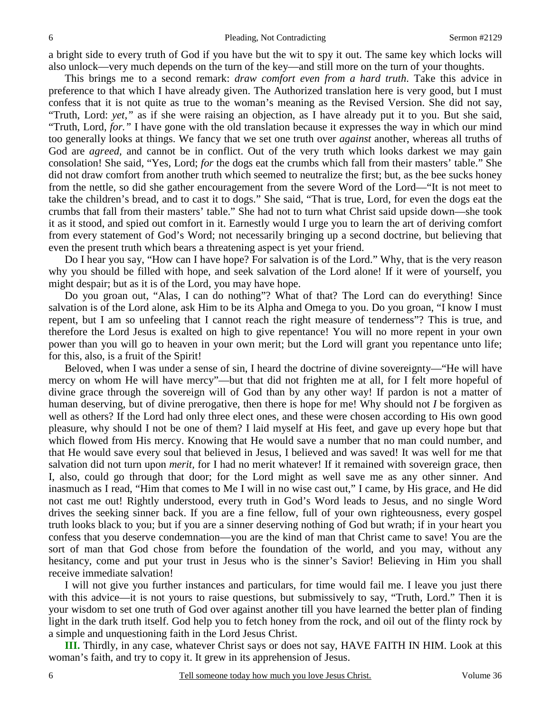a bright side to every truth of God if you have but the wit to spy it out. The same key which locks will also unlock—very much depends on the turn of the key—and still more on the turn of your thoughts.

 This brings me to a second remark: *draw comfort even from a hard truth*. Take this advice in preference to that which I have already given. The Authorized translation here is very good, but I must confess that it is not quite as true to the woman's meaning as the Revised Version. She did not say, "Truth, Lord: *yet,"* as if she were raising an objection, as I have already put it to you. But she said, "Truth, Lord, *for."* I have gone with the old translation because it expresses the way in which our mind too generally looks at things. We fancy that we set one truth over *against* another, whereas all truths of God are *agreed,* and cannot be in conflict. Out of the very truth which looks darkest we may gain consolation! She said, "Yes, Lord; *for* the dogs eat the crumbs which fall from their masters' table." She did not draw comfort from another truth which seemed to neutralize the first; but, as the bee sucks honey from the nettle, so did she gather encouragement from the severe Word of the Lord—"It is not meet to take the children's bread, and to cast it to dogs." She said, "That is true, Lord, for even the dogs eat the crumbs that fall from their masters' table." She had not to turn what Christ said upside down—she took it as it stood, and spied out comfort in it. Earnestly would I urge you to learn the art of deriving comfort from every statement of God's Word; not necessarily bringing up a second doctrine, but believing that even the present truth which bears a threatening aspect is yet your friend.

 Do I hear you say, "How can I have hope? For salvation is of the Lord." Why, that is the very reason why you should be filled with hope, and seek salvation of the Lord alone! If it were of yourself, you might despair; but as it is of the Lord, you may have hope.

 Do you groan out, "Alas, I can do nothing"? What of that? The Lord can do everything! Since salvation is of the Lord alone, ask Him to be its Alpha and Omega to you. Do you groan, "I know I must repent, but I am so unfeeling that I cannot reach the right measure of tenderness"? This is true, and therefore the Lord Jesus is exalted on high to give repentance! You will no more repent in your own power than you will go to heaven in your own merit; but the Lord will grant you repentance unto life; for this, also, is a fruit of the Spirit!

 Beloved, when I was under a sense of sin, I heard the doctrine of divine sovereignty—"He will have mercy on whom He will have mercy"—but that did not frighten me at all, for I felt more hopeful of divine grace through the sovereign will of God than by any other way! If pardon is not a matter of human deserving, but of divine prerogative, then there is hope for me! Why should not *I* be forgiven as well as others? If the Lord had only three elect ones, and these were chosen according to His own good pleasure, why should I not be one of them? I laid myself at His feet, and gave up every hope but that which flowed from His mercy. Knowing that He would save a number that no man could number, and that He would save every soul that believed in Jesus, I believed and was saved! It was well for me that salvation did not turn upon *merit*, for I had no merit whatever! If it remained with sovereign grace, then I, also, could go through that door; for the Lord might as well save me as any other sinner. And inasmuch as I read, "Him that comes to Me I will in no wise cast out," I came, by His grace, and He did not cast me out! Rightly understood, every truth in God's Word leads to Jesus, and no single Word drives the seeking sinner back. If you are a fine fellow, full of your own righteousness, every gospel truth looks black to you; but if you are a sinner deserving nothing of God but wrath; if in your heart you confess that you deserve condemnation—you are the kind of man that Christ came to save! You are the sort of man that God chose from before the foundation of the world, and you may, without any hesitancy, come and put your trust in Jesus who is the sinner's Savior! Believing in Him you shall receive immediate salvation!

 I will not give you further instances and particulars, for time would fail me. I leave you just there with this advice—it is not yours to raise questions, but submissively to say, "Truth, Lord." Then it is your wisdom to set one truth of God over against another till you have learned the better plan of finding light in the dark truth itself. God help you to fetch honey from the rock, and oil out of the flinty rock by a simple and unquestioning faith in the Lord Jesus Christ.

**III.** Thirdly, in any case, whatever Christ says or does not say, HAVE FAITH IN HIM. Look at this woman's faith, and try to copy it. It grew in its apprehension of Jesus.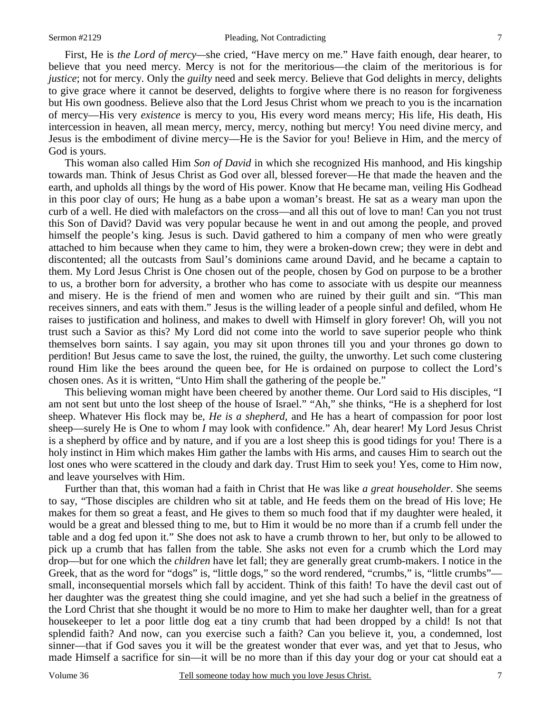First, He is *the Lord of mercy—*she cried, "Have mercy on me." Have faith enough, dear hearer, to believe that you need mercy. Mercy is not for the meritorious—the claim of the meritorious is for *justice*; not for mercy. Only the *guilty* need and seek mercy. Believe that God delights in mercy, delights to give grace where it cannot be deserved, delights to forgive where there is no reason for forgiveness but His own goodness. Believe also that the Lord Jesus Christ whom we preach to you is the incarnation of mercy—His very *existence* is mercy to you, His every word means mercy; His life, His death, His intercession in heaven, all mean mercy, mercy, mercy, nothing but mercy! You need divine mercy, and Jesus is the embodiment of divine mercy—He is the Savior for you! Believe in Him, and the mercy of God is yours.

 This woman also called Him *Son of David* in which she recognized His manhood, and His kingship towards man. Think of Jesus Christ as God over all, blessed forever—He that made the heaven and the earth, and upholds all things by the word of His power. Know that He became man, veiling His Godhead in this poor clay of ours; He hung as a babe upon a woman's breast. He sat as a weary man upon the curb of a well. He died with malefactors on the cross—and all this out of love to man! Can you not trust this Son of David? David was very popular because he went in and out among the people, and proved himself the people's king. Jesus is such. David gathered to him a company of men who were greatly attached to him because when they came to him, they were a broken-down crew; they were in debt and discontented; all the outcasts from Saul's dominions came around David, and he became a captain to them. My Lord Jesus Christ is One chosen out of the people, chosen by God on purpose to be a brother to us, a brother born for adversity, a brother who has come to associate with us despite our meanness and misery. He is the friend of men and women who are ruined by their guilt and sin. "This man receives sinners, and eats with them." Jesus is the willing leader of a people sinful and defiled, whom He raises to justification and holiness, and makes to dwell with Himself in glory forever! Oh, will you not trust such a Savior as this? My Lord did not come into the world to save superior people who think themselves born saints. I say again, you may sit upon thrones till you and your thrones go down to perdition! But Jesus came to save the lost, the ruined, the guilty, the unworthy. Let such come clustering round Him like the bees around the queen bee, for He is ordained on purpose to collect the Lord's chosen ones. As it is written, "Unto Him shall the gathering of the people be."

 This believing woman might have been cheered by another theme. Our Lord said to His disciples, "I am not sent but unto the lost sheep of the house of Israel." "Ah," she thinks, "He is a shepherd for lost sheep. Whatever His flock may be, *He is a shepherd,* and He has a heart of compassion for poor lost sheep—surely He is One to whom *I* may look with confidence." Ah, dear hearer! My Lord Jesus Christ is a shepherd by office and by nature, and if you are a lost sheep this is good tidings for you! There is a holy instinct in Him which makes Him gather the lambs with His arms, and causes Him to search out the lost ones who were scattered in the cloudy and dark day. Trust Him to seek you! Yes, come to Him now, and leave yourselves with Him.

 Further than that, this woman had a faith in Christ that He was like *a great householder*. She seems to say, "Those disciples are children who sit at table, and He feeds them on the bread of His love; He makes for them so great a feast, and He gives to them so much food that if my daughter were healed, it would be a great and blessed thing to me, but to Him it would be no more than if a crumb fell under the table and a dog fed upon it." She does not ask to have a crumb thrown to her, but only to be allowed to pick up a crumb that has fallen from the table. She asks not even for a crumb which the Lord may drop—but for one which the *children* have let fall; they are generally great crumb-makers. I notice in the Greek, that as the word for "dogs" is, "little dogs," so the word rendered, "crumbs," is, "little crumbs" small, inconsequential morsels which fall by accident. Think of this faith! To have the devil cast out of her daughter was the greatest thing she could imagine, and yet she had such a belief in the greatness of the Lord Christ that she thought it would be no more to Him to make her daughter well, than for a great housekeeper to let a poor little dog eat a tiny crumb that had been dropped by a child! Is not that splendid faith? And now, can you exercise such a faith? Can you believe it, you, a condemned, lost sinner—that if God saves you it will be the greatest wonder that ever was, and yet that to Jesus, who made Himself a sacrifice for sin—it will be no more than if this day your dog or your cat should eat a